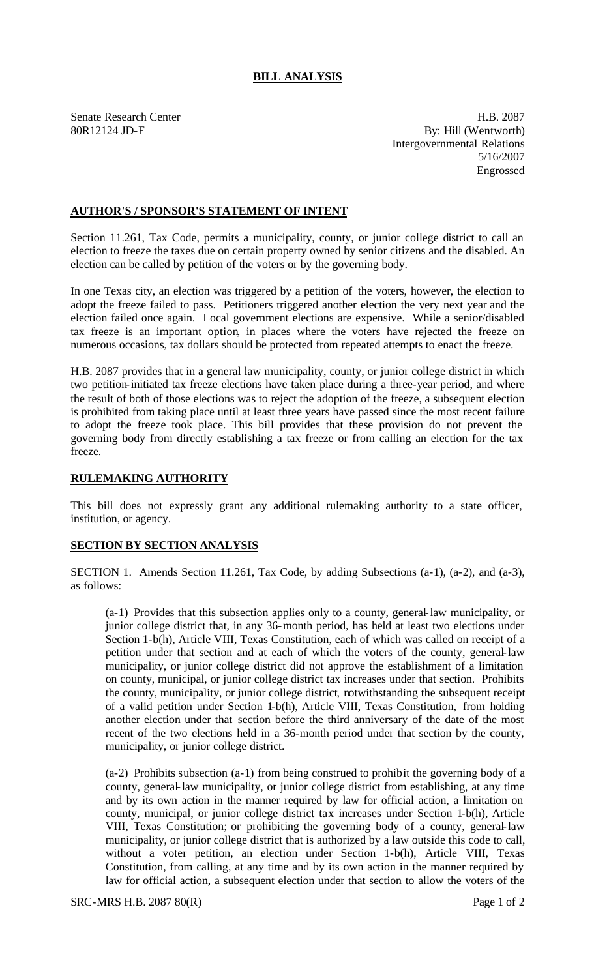## **BILL ANALYSIS**

Senate Research Center **H.B. 2087** 80R12124 JD-F By: Hill (Wentworth) Intergovernmental Relations 5/16/2007 Engrossed

## **AUTHOR'S / SPONSOR'S STATEMENT OF INTENT**

Section 11.261, Tax Code, permits a municipality, county, or junior college district to call an election to freeze the taxes due on certain property owned by senior citizens and the disabled. An election can be called by petition of the voters or by the governing body.

In one Texas city, an election was triggered by a petition of the voters, however, the election to adopt the freeze failed to pass. Petitioners triggered another election the very next year and the election failed once again. Local government elections are expensive. While a senior/disabled tax freeze is an important option, in places where the voters have rejected the freeze on numerous occasions, tax dollars should be protected from repeated attempts to enact the freeze.

H.B. 2087 provides that in a general law municipality, county, or junior college district in which two petition-initiated tax freeze elections have taken place during a three-year period, and where the result of both of those elections was to reject the adoption of the freeze, a subsequent election is prohibited from taking place until at least three years have passed since the most recent failure to adopt the freeze took place. This bill provides that these provision do not prevent the governing body from directly establishing a tax freeze or from calling an election for the tax freeze.

## **RULEMAKING AUTHORITY**

This bill does not expressly grant any additional rulemaking authority to a state officer, institution, or agency.

## **SECTION BY SECTION ANALYSIS**

SECTION 1. Amends Section 11.261, Tax Code, by adding Subsections (a-1), (a-2), and (a-3), as follows:

(a-1) Provides that this subsection applies only to a county, general-law municipality, or junior college district that, in any 36-month period, has held at least two elections under Section 1-b(h), Article VIII, Texas Constitution, each of which was called on receipt of a petition under that section and at each of which the voters of the county, general-law municipality, or junior college district did not approve the establishment of a limitation on county, municipal, or junior college district tax increases under that section. Prohibits the county, municipality, or junior college district, notwithstanding the subsequent receipt of a valid petition under Section 1-b(h), Article VIII, Texas Constitution, from holding another election under that section before the third anniversary of the date of the most recent of the two elections held in a 36-month period under that section by the county, municipality, or junior college district.

(a-2) Prohibits subsection (a-1) from being construed to prohibit the governing body of a county, general-law municipality, or junior college district from establishing, at any time and by its own action in the manner required by law for official action, a limitation on county, municipal, or junior college district tax increases under Section 1-b(h), Article VIII, Texas Constitution; or prohibiting the governing body of a county, general-law municipality, or junior college district that is authorized by a law outside this code to call, without a voter petition, an election under Section 1-b(h), Article VIII, Texas Constitution, from calling, at any time and by its own action in the manner required by law for official action, a subsequent election under that section to allow the voters of the